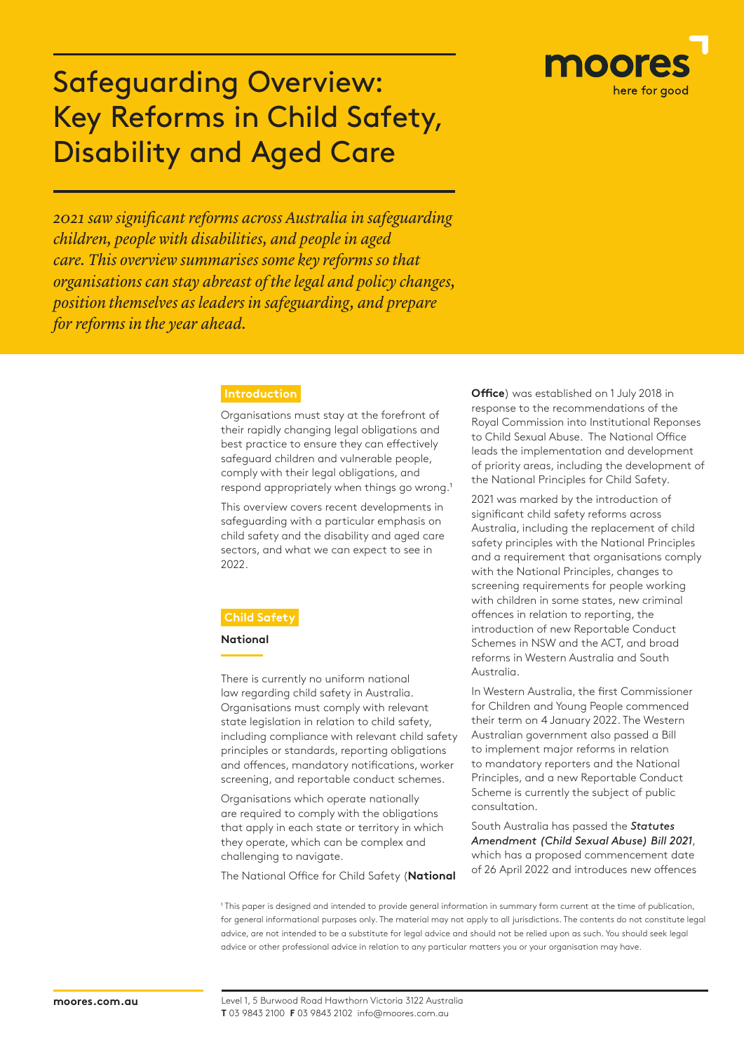

# Safeguarding Overview: Key Reforms in Child Safety, Disability and Aged Care

*2021 saw significant reforms across Australia in safeguarding children, people with disabilities, and people in aged care. This overview summarises some key reforms so that organisations can stay abreast of the legal and policy changes, position themselves as leaders in safeguarding, and prepare for reforms in the year ahead.*

Organisations must stay at the forefront of their rapidly changing legal obligations and best practice to ensure they can effectively safeguard children and vulnerable people, comply with their legal obligations, and respond appropriately when things go wrong.<sup>1</sup>

This overview covers recent developments in safeguarding with a particular emphasis on child safety and the disability and aged care sectors, and what we can expect to see in 2022.

#### **National**

There is currently no uniform national law regarding child safety in Australia. Organisations must comply with relevant state legislation in relation to child safety, including compliance with relevant child safety principles or standards, reporting obligations and offences, mandatory notifications, worker screening, and reportable conduct schemes.

Organisations which operate nationally are required to comply with the obligations that apply in each state or territory in which they operate, which can be complex and challenging to navigate.

The National Office for Child Safety (**National** 

**Office**) was established on 1 July 2018 in response to the recommendations of the Royal Commission into Institutional Reponses to Child Sexual Abuse. The National Office leads the implementation and development of priority areas, including the development of the National Principles for Child Safety.

2021 was marked by the introduction of significant child safety reforms across Australia, including the replacement of child safety principles with the National Principles and a requirement that organisations comply with the National Principles, changes to screening requirements for people working with children in some states, new criminal offences in relation to reporting, the introduction of new Reportable Conduct Schemes in NSW and the ACT, and broad reforms in Western Australia and South Australia.

In Western Australia, the first Commissioner for Children and Young People commenced their term on 4 January 2022. The Western Australian government also passed a Bill to implement major reforms in relation to mandatory reporters and the National Principles, and a new Reportable Conduct Scheme is currently the subject of public consultation.

South Australia has passed the *Statutes Amendment (Child Sexual Abuse) Bill 2021*, which has a proposed commencement date of 26 April 2022 and introduces new offences

<sup>1</sup> This paper is designed and intended to provide general information in summary form current at the time of publication, for general informational purposes only. The material may not apply to all jurisdictions. The contents do not constitute legal advice, are not intended to be a substitute for legal advice and should not be relied upon as such. You should seek legal advice or other professional advice in relation to any particular matters you or your organisation may have.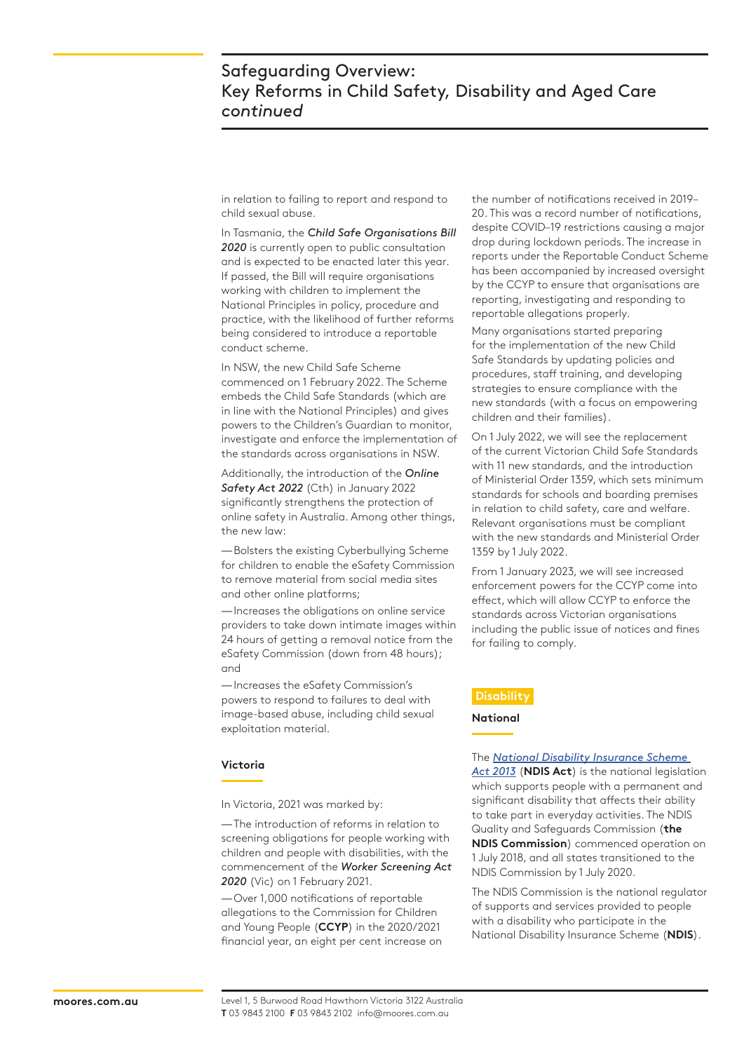in relation to failing to report and respond to child sexual abuse.

In Tasmania, the *Child Safe Organisations Bill 2020* is currently open to public consultation and is expected to be enacted later this year. If passed, the Bill will require organisations working with children to implement the National Principles in policy, procedure and practice, with the likelihood of further reforms being considered to introduce a reportable conduct scheme.

In NSW, the new Child Safe Scheme commenced on 1 February 2022. The Scheme embeds the Child Safe Standards (which are in line with the National Principles) and gives powers to the Children's Guardian to monitor, investigate and enforce the implementation of the standards across organisations in NSW.

Additionally, the introduction of the *Online Safety Act 2022* (Cth) in January 2022 significantly strengthens the protection of online safety in Australia. Among other things, the new law:

—Bolsters the existing Cyberbullying Scheme for children to enable the eSafety Commission to remove material from social media sites and other online platforms;

—Increases the obligations on online service providers to take down intimate images within 24 hours of getting a removal notice from the eSafety Commission (down from 48 hours); and

—Increases the eSafety Commission's powers to respond to failures to deal with image-based abuse, including child sexual exploitation material.

#### **Victoria**

In Victoria, 2021 was marked by:

—The introduction of reforms in relation to screening obligations for people working with children and people with disabilities, with the commencement of the *Worker Screening Act 2020* (Vic) on 1 February 2021.

—Over 1,000 notifications of reportable allegations to the Commission for Children and Young People (**CCYP**) in the 2020/2021 financial year, an eight per cent increase on the number of notifications received in 2019– 20. This was a record number of notifications, despite COVID–19 restrictions causing a major drop during lockdown periods. The increase in reports under the Reportable Conduct Scheme has been accompanied by increased oversight by the CCYP to ensure that organisations are reporting, investigating and responding to reportable allegations properly.

Many organisations started preparing for the implementation of the new Child Safe Standards by updating policies and procedures, staff training, and developing strategies to ensure compliance with the new standards (with a focus on empowering children and their families).

On 1 July 2022, we will see the replacement of the current Victorian Child Safe Standards with 11 new standards, and the introduction of Ministerial Order 1359, which sets minimum standards for schools and boarding premises in relation to child safety, care and welfare. Relevant organisations must be compliant with the new standards and Ministerial Order 1359 by 1 July 2022.

From 1 January 2023, we will see increased enforcement powers for the CCYP come into effect, which will allow CCYP to enforce the standards across Victorian organisations including the public issue of notices and fines for failing to comply.

#### **Disability**

**National**

The *National Disability Insurance Scheme* 

*Act 2013* (**NDIS Act**) is the national legislation which supports people with a permanent and significant disability that affects their ability to take part in everyday activities. The NDIS Quality and Safeguards Commission (**the NDIS Commission**) commenced operation on 1 July 2018, and all states transitioned to the NDIS Commission by 1 July 2020.

The NDIS Commission is the national regulator of supports and services provided to people with a disability who participate in the National Disability Insurance Scheme (**NDIS**).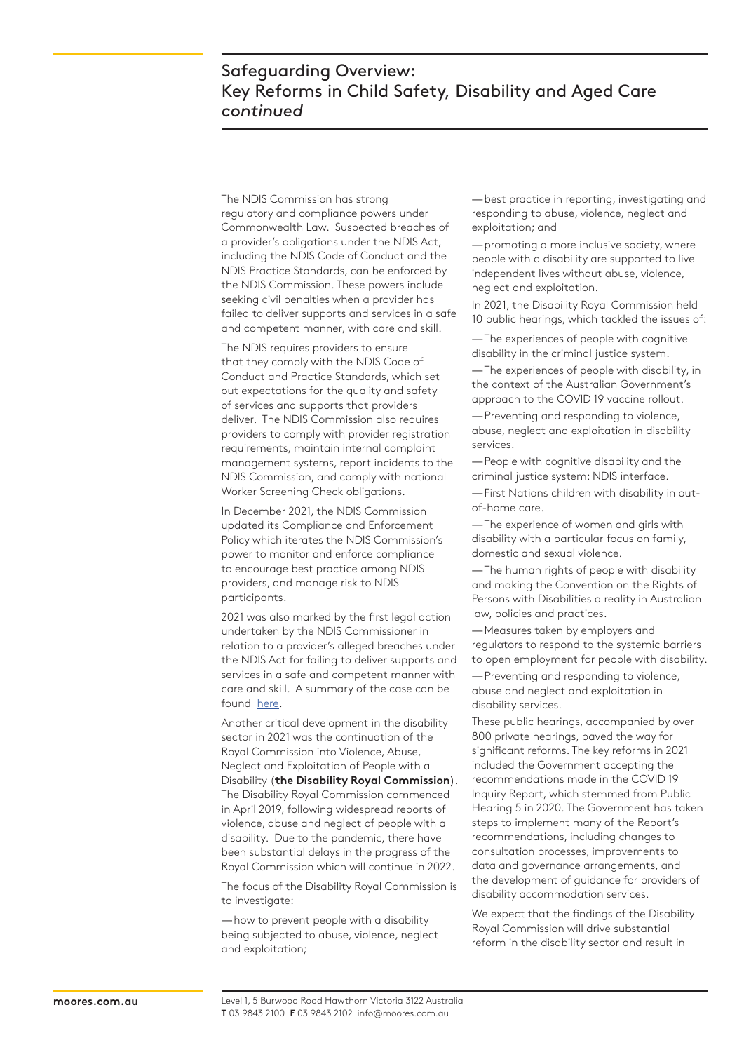# Safeguarding Overview: Key Reforms in Child Safety, Disability and Aged Care *continued*

The NDIS Commission has strong regulatory and compliance powers under Commonwealth Law. Suspected breaches of a provider's obligations under the NDIS Act, including the NDIS Code of Conduct and the NDIS Practice Standards, can be enforced by the NDIS Commission. These powers include seeking civil penalties when a provider has failed to deliver supports and services in a safe and competent manner, with care and skill.

The NDIS requires providers to ensure that they comply with the NDIS Code of Conduct and Practice Standards, which set out expectations for the quality and safety of services and supports that providers deliver. The NDIS Commission also requires providers to comply with provider registration requirements, maintain internal complaint management systems, report incidents to the NDIS Commission, and comply with national Worker Screening Check obligations.

In December 2021, the NDIS Commission updated its Compliance and Enforcement Policy which iterates the NDIS Commission's power to monitor and enforce compliance to encourage best practice among NDIS providers, and manage risk to NDIS participants.

2021 was also marked by the first legal action undertaken by the NDIS Commissioner in relation to a provider's alleged breaches under the NDIS Act for failing to deliver supports and services in a safe and competent manner with care and skill. A summary of the case can be found here.

Another critical development in the disability sector in 2021 was the continuation of the Royal Commission into Violence, Abuse, Neglect and Exploitation of People with a Disability (**the Disability Royal Commission**). The Disability Royal Commission commenced in April 2019, following widespread reports of violence, abuse and neglect of people with a disability. Due to the pandemic, there have been substantial delays in the progress of the Royal Commission which will continue in 2022.

The focus of the Disability Royal Commission is to investigate:

—how to prevent people with a disability being subjected to abuse, violence, neglect and exploitation;

—best practice in reporting, investigating and responding to abuse, violence, neglect and exploitation; and

—promoting a more inclusive society, where people with a disability are supported to live independent lives without abuse, violence, neglect and exploitation.

In 2021, the Disability Royal Commission held 10 public hearings, which tackled the issues of:

—The experiences of people with cognitive disability in the criminal justice system.

—The experiences of people with disability, in the context of the Australian Government's approach to the COVID 19 vaccine rollout.

—Preventing and responding to violence, abuse, neglect and exploitation in disability services.

—People with cognitive disability and the criminal justice system: NDIS interface.

—First Nations children with disability in outof-home care.

—The experience of women and girls with disability with a particular focus on family, domestic and sexual violence.

—The human rights of people with disability and making the Convention on the Rights of Persons with Disabilities a reality in Australian law, policies and practices.

—Measures taken by employers and regulators to respond to the systemic barriers to open employment for people with disability.

—Preventing and responding to violence, abuse and neglect and exploitation in disability services.

These public hearings, accompanied by over 800 private hearings, paved the way for significant reforms. The key reforms in 2021 included the Government accepting the recommendations made in the COVID 19 Inquiry Report, which stemmed from Public Hearing 5 in 2020. The Government has taken steps to implement many of the Report's recommendations, including changes to consultation processes, improvements to data and governance arrangements, and the development of guidance for providers of disability accommodation services.

We expect that the findings of the Disability Royal Commission will drive substantial reform in the disability sector and result in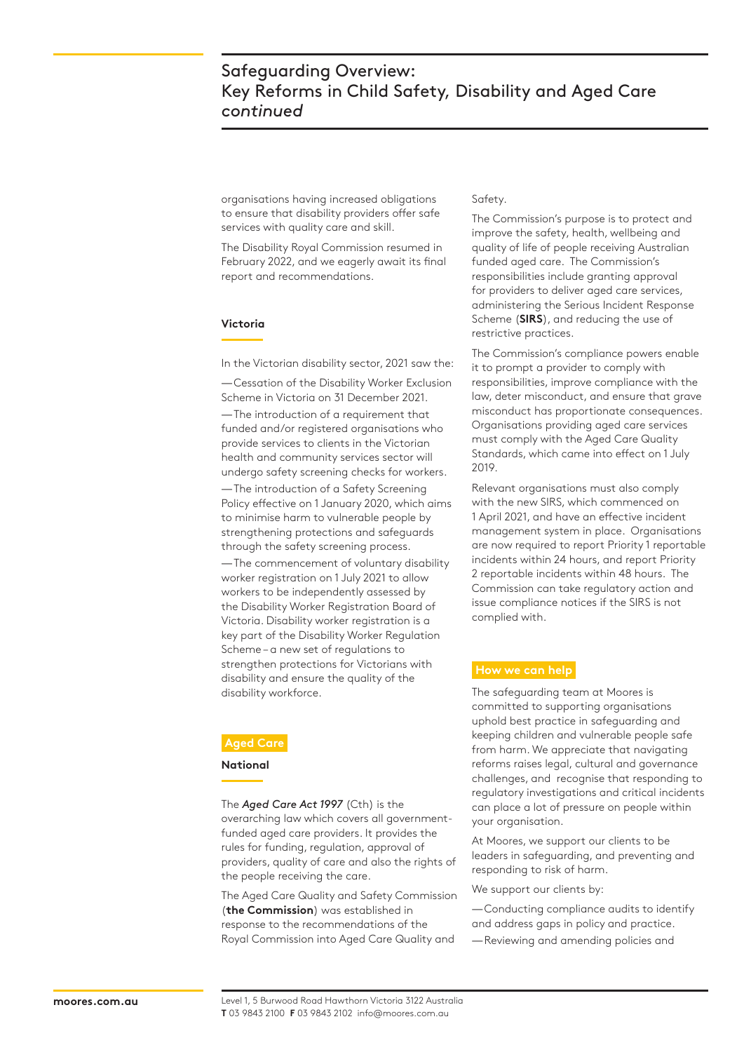organisations having increased obligations to ensure that disability providers offer safe services with quality care and skill.

The Disability Royal Commission resumed in February 2022, and we eagerly await its final report and recommendations.

#### **Victoria**

In the Victorian disability sector, 2021 saw the:

—Cessation of the Disability Worker Exclusion Scheme in Victoria on 31 December 2021.

—The introduction of a requirement that funded and/or registered organisations who provide services to clients in the Victorian health and community services sector will undergo safety screening checks for workers.

—The introduction of a Safety Screening Policy effective on 1 January 2020, which aims to minimise harm to vulnerable people by strengthening protections and safeguards through the safety screening process.

—The commencement of voluntary disability worker registration on 1 July 2021 to allow workers to be independently assessed by the Disability Worker Registration Board of Victoria. Disability worker registration is a key part of the Disability Worker Regulation Scheme – a new set of regulations to strengthen protections for Victorians with disability and ensure the quality of the disability workforce.

### **Aged Care**

#### **National**

The *Aged Care Act 1997* (Cth) is the overarching law which covers all governmentfunded aged care providers. It provides the rules for funding, regulation, approval of providers, quality of care and also the rights of the people receiving the care.

The Aged Care Quality and Safety Commission (**the Commission**) was established in response to the recommendations of the Royal Commission into Aged Care Quality and

#### Safety.

The Commission's purpose is to protect and improve the safety, health, wellbeing and quality of life of people receiving Australian funded aged care. The Commission's responsibilities include granting approval for providers to deliver aged care services, administering the Serious Incident Response Scheme (**SIRS**), and reducing the use of restrictive practices.

The Commission's compliance powers enable it to prompt a provider to comply with responsibilities, improve compliance with the law, deter misconduct, and ensure that grave misconduct has proportionate consequences. Organisations providing aged care services must comply with the Aged Care Quality Standards, which came into effect on 1 July 2019.

Relevant organisations must also comply with the new SIRS, which commenced on 1 April 2021, and have an effective incident management system in place. Organisations are now required to report Priority 1 reportable incidents within 24 hours, and report Priority 2 reportable incidents within 48 hours. The Commission can take regulatory action and issue compliance notices if the SIRS is not complied with.

#### **How we can help**

The safeguarding team at Moores is committed to supporting organisations uphold best practice in safeguarding and keeping children and vulnerable people safe from harm. We appreciate that navigating reforms raises legal, cultural and governance challenges, and recognise that responding to regulatory investigations and critical incidents can place a lot of pressure on people within your organisation.

At Moores, we support our clients to be leaders in safeguarding, and preventing and responding to risk of harm.

We support our clients by:

—Conducting compliance audits to identify and address gaps in policy and practice.

—Reviewing and amending policies and